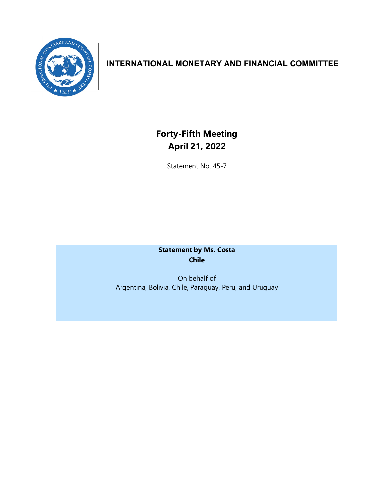

# **INTERNATIONAL MONETARY AND FINANCIAL COMMITTEE**

# **Forty-Fifth Meeting April 21, 2022**

Statement No. 45-7

**Statement by Ms. Costa Chile**

On behalf of Argentina, Bolivia, Chile, Paraguay, Peru, and Uruguay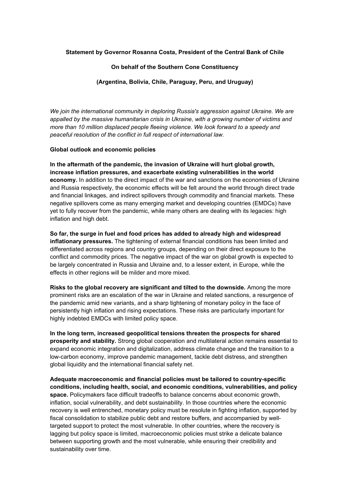## **Statement by Governor Rosanna Costa, President of the Central Bank of Chile**

### **On behalf of the Southern Cone Constituency**

#### **(Argentina, Bolivia, Chile, Paraguay, Peru, and Uruguay)**

*We join the international community in deploring Russia's aggression against Ukraine. We are appalled by the massive humanitarian crisis in Ukraine, with a growing number of victims and more than 10 million displaced people fleeing violence. We look forward to a speedy and peaceful resolution of the conflict in full respect of international law.*

#### **Global outlook and economic policies**

**In the aftermath of the pandemic, the invasion of Ukraine will hurt global growth, increase inflation pressures, and exacerbate existing vulnerabilities in the world economy.** In addition to the direct impact of the war and sanctions on the economies of Ukraine and Russia respectively, the economic effects will be felt around the world through direct trade and financial linkages, and indirect spillovers through commodity and financial markets. These negative spillovers come as many emerging market and developing countries (EMDCs) have yet to fully recover from the pandemic, while many others are dealing with its legacies: high inflation and high debt.

**So far, the surge in fuel and food prices has added to already high and widespread inflationary pressures.** The tightening of external financial conditions has been limited and differentiated across regions and country groups, depending on their direct exposure to the conflict and commodity prices. The negative impact of the war on global growth is expected to be largely concentrated in Russia and Ukraine and, to a lesser extent, in Europe, while the effects in other regions will be milder and more mixed.

**Risks to the global recovery are significant and tilted to the downside.** Among the more prominent risks are an escalation of the war in Ukraine and related sanctions, a resurgence of the pandemic amid new variants, and a sharp tightening of monetary policy in the face of persistently high inflation and rising expectations. These risks are particularly important for highly indebted EMDCs with limited policy space.

**In the long term, increased geopolitical tensions threaten the prospects for shared prosperity and stability.** Strong global cooperation and multilateral action remains essential to expand economic integration and digitalization, address climate change and the transition to a low-carbon economy, improve pandemic management, tackle debt distress, and strengthen global liquidity and the international financial safety net.

**Adequate macroeconomic and financial policies must be tailored to country-specific conditions, including health, social, and economic conditions, vulnerabilities, and policy space.** Policymakers face difficult tradeoffs to balance concerns about economic growth, inflation, social vulnerability, and debt sustainability. In those countries where the economic recovery is well entrenched, monetary policy must be resolute in fighting inflation, supported by fiscal consolidation to stabilize public debt and restore buffers, and accompanied by welltargeted support to protect the most vulnerable. In other countries, where the recovery is lagging but policy space is limited, macroeconomic policies must strike a delicate balance between supporting growth and the most vulnerable, while ensuring their credibility and sustainability over time.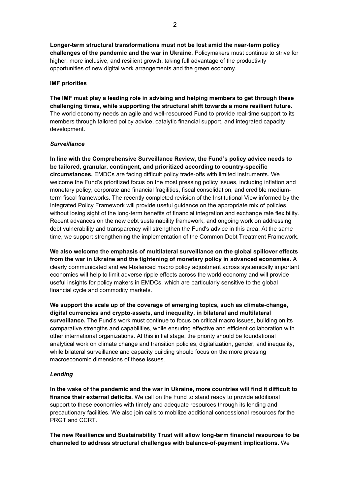**Longer-term structural transformations must not be lost amid the near-term policy challenges of the pandemic and the war in Ukraine.** Policymakers must continue to strive for higher, more inclusive, and resilient growth, taking full advantage of the productivity opportunities of new digital work arrangements and the green economy.

## **IMF priorities**

**The IMF must play a leading role in advising and helping members to get through these challenging times, while supporting the structural shift towards a more resilient future.**  The world economy needs an agile and well-resourced Fund to provide real-time support to its members through tailored policy advice, catalytic financial support, and integrated capacity development.

## *Surveillance*

**In line with the Comprehensive Surveillance Review, the Fund's policy advice needs to be tailored, granular, contingent, and prioritized according to country-specific circumstances.** EMDCs are facing difficult policy trade-offs with limited instruments. We welcome the Fund's prioritized focus on the most pressing policy issues, including inflation and monetary policy, corporate and financial fragilities, fiscal consolidation, and credible mediumterm fiscal frameworks. The recently completed revision of the Institutional View informed by the Integrated Policy Framework will provide useful guidance on the appropriate mix of policies, without losing sight of the long-term benefits of financial integration and exchange rate flexibility. Recent advances on the new debt sustainability framework, and ongoing work on addressing debt vulnerability and transparency will strengthen the Fund's advice in this area. At the same time, we support strengthening the implementation of the Common Debt Treatment Framework.

**We also welcome the emphasis of multilateral surveillance on the global spillover effects from the war in Ukraine and the tightening of monetary policy in advanced economies.** A clearly communicated and well-balanced macro policy adjustment across systemically important economies will help to limit adverse ripple effects across the world economy and will provide useful insights for policy makers in EMDCs, which are particularly sensitive to the global financial cycle and commodity markets.

**We support the scale up of the coverage of emerging topics, such as climate-change, digital currencies and crypto-assets, and inequality, in bilateral and multilateral surveillance.** The Fund's work must continue to focus on critical macro issues, building on its comparative strengths and capabilities, while ensuring effective and efficient collaboration with other international organizations. At this initial stage, the priority should be foundational analytical work on climate change and transition policies, digitalization, gender, and inequality, while bilateral surveillance and capacity building should focus on the more pressing macroeconomic dimensions of these issues.

# *Lending*

**In the wake of the pandemic and the war in Ukraine, more countries will find it difficult to finance their external deficits.** We call on the Fund to stand ready to provide additional support to these economies with timely and adequate resources through its lending and precautionary facilities. We also join calls to mobilize additional concessional resources for the PRGT and CCRT.

**The new Resilience and Sustainability Trust will allow long-term financial resources to be channeled to address structural challenges with balance-of-payment implications.** We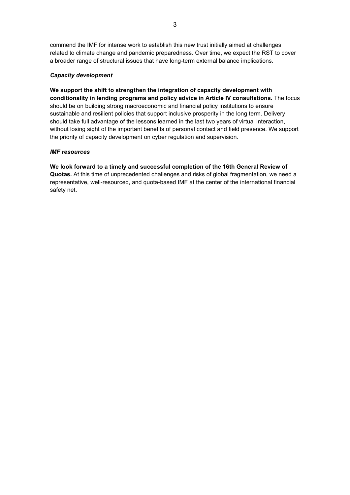commend the IMF for intense work to establish this new trust initially aimed at challenges related to climate change and pandemic preparedness. Over time, we expect the RST to cover a broader range of structural issues that have long-term external balance implications.

# *Capacity development*

**We support the shift to strengthen the integration of capacity development with conditionality in lending programs and policy advice in Article IV consultations.** The focus should be on building strong macroeconomic and financial policy institutions to ensure sustainable and resilient policies that support inclusive prosperity in the long term. Delivery should take full advantage of the lessons learned in the last two years of virtual interaction, without losing sight of the important benefits of personal contact and field presence. We support the priority of capacity development on cyber regulation and supervision.

## *IMF resources*

**We look forward to a timely and successful completion of the 16th General Review of Quotas.** At this time of unprecedented challenges and risks of global fragmentation, we need a representative, well-resourced, and quota-based IMF at the center of the international financial safety net.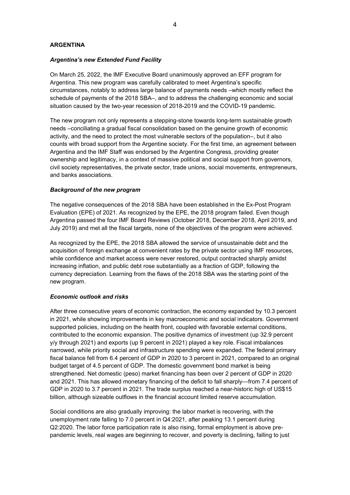## **ARGENTINA**

## *Argentina's new Extended Fund Facility*

On March 25, 2022, the IMF Executive Board unanimously approved an EFF program for Argentina. This new program was carefully calibrated to meet Argentina's specific circumstances, notably to address large balance of payments needs –which mostly reflect the schedule of payments of the 2018 SBA–, and to address the challenging economic and social situation caused by the two-year recession of 2018-2019 and the COVID-19 pandemic.

The new program not only represents a stepping-stone towards long-term sustainable growth needs –conciliating a gradual fiscal consolidation based on the genuine growth of economic activity, and the need to protect the most vulnerable sectors of the population–, but it also counts with broad support from the Argentine society. For the first time, an agreement between Argentina and the IMF Staff was endorsed by the Argentine Congress, providing greater ownership and legitimacy, in a context of massive political and social support from governors, civil society representatives, the private sector, trade unions, social movements, entrepreneurs, and banks associations.

## *Background of the new program*

The negative consequences of the 2018 SBA have been established in the Ex-Post Program Evaluation (EPE) of 2021. As recognized by the EPE, the 2018 program failed. Even though Argentina passed the four IMF Board Reviews (October 2018, December 2018, April 2019, and July 2019) and met all the fiscal targets, none of the objectives of the program were achieved.

As recognized by the EPE, the 2018 SBA allowed the service of unsustainable debt and the acquisition of foreign exchange at convenient rates by the private sector using IMF resources, while confidence and market access were never restored, output contracted sharply amidst increasing inflation, and public debt rose substantially as a fraction of GDP, following the currency depreciation. Learning from the flaws of the 2018 SBA was the starting point of the new program.

#### *Economic outlook and risks*

After three consecutive years of economic contraction, the economy expanded by 10.3 percent in 2021, while showing improvements in key macroeconomic and social indicators. Government supported policies, including on the health front, coupled with favorable external conditions, contributed to the economic expansion. The positive dynamics of investment (up 32.9 percent y/y through 2021) and exports (up 9 percent in 2021) played a key role. Fiscal imbalances narrowed, while priority social and infrastructure spending were expanded. The federal primary fiscal balance fell from 6.4 percent of GDP in 2020 to 3 percent in 2021, compared to an original budget target of 4.5 percent of GDP. The domestic government bond market is being strengthened. Net domestic (peso) market financing has been over 2 percent of GDP in 2020 and 2021. This has allowed monetary financing of the deficit to fall sharply—from 7.4 percent of GDP in 2020 to 3.7 percent in 2021. The trade surplus reached a near-historic high of US\$15 billion, although sizeable outflows in the financial account limited reserve accumulation.

Social conditions are also gradually improving: the labor market is recovering, with the unemployment rate falling to 7.0 percent in Q4:2021, after peaking 13.1 percent during Q2:2020. The labor force participation rate is also rising, formal employment is above prepandemic levels, real wages are beginning to recover, and poverty is declining, falling to just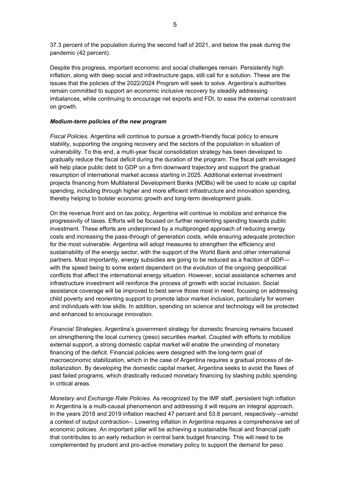37.3 percent of the population during the second half of 2021, and below the peak during the pandemic (42 percent).

Despite this progress, important economic and social challenges remain. Persistently high inflation, along with deep social and infrastructure gaps, still call for a solution. These are the issues that the policies of the 2022/2024 Program will seek to solve. Argentina's authorities remain committed to support an economic inclusive recovery by steadily addressing imbalances, while continuing to encourage net exports and FDI, to ease the external constraint on growth.

## *Medium-term policies of the new program*

*Fiscal Policies.* Argentina will continue to pursue a growth-friendly fiscal policy to ensure stability, supporting the ongoing recovery and the sectors of the population in situation of vulnerability. To this end, a multi-year fiscal consolidation strategy has been developed to gradually reduce the fiscal deficit during the duration of the program. The fiscal path envisaged will help place public debt to GDP on a firm downward trajectory and support the gradual resumption of international market access starting in 2025. Additional external investment projects financing from Multilateral Development Banks (MDBs) will be used to scale up capital spending, including through higher and more efficient infrastructure and innovation spending, thereby helping to bolster economic growth and long-term development goals.

On the revenue front and on tax policy, Argentina will continue to mobilize and enhance the progressivity of taxes. Efforts will be focused on further reorienting spending towards public investment. These efforts are underpinned by a multipronged approach of reducing energy costs and increasing the pass-through of generation costs, while ensuring adequate protection for the most vulnerable. Argentina will adopt measures to strengthen the efficiency and sustainability of the energy sector, with the support of the World Bank and other international partners. Most importantly, energy subsidies are going to be reduced as a fraction of GDP with the speed being to some extent dependent on the evolution of the ongoing geopolitical conflicts that affect the international energy situation. However, social assistance schemes and infrastructure investment will reinforce the process of growth with social inclusion. Social assistance coverage will be improved to best serve those most in need, focusing on addressing child poverty and reorienting support to promote labor market inclusion, particularly for women and individuals with low skills. In addition, spending on science and technology will be protected and enhanced to encourage innovation.

*Financial Strategies.* Argentina's government strategy for domestic financing remains focused on strengthening the local currency (peso) securities market. Coupled with efforts to mobilize external support, a strong domestic capital market will enable the unwinding of monetary financing of the deficit. Financial policies were designed with the long-term goal of macroeconomic stabilization, which in the case of Argentina requires a gradual process of dedollarization. By developing the domestic capital market, Argentina seeks to avoid the flaws of past failed programs, which drastically reduced monetary financing by slashing public spending in critical areas.

*Monetary and Exchange Rate Policies.* As recognized by the IMF staff, persistent high inflation in Argentina is a multi-causal phenomenon and addressing it will require an integral approach. In the years 2018 and 2019 inflation reached 47 percent and 53.8 percent, respectively –amidst a context of output contraction–. Lowering inflation in Argentina requires a comprehensive set of economic policies. An important pillar will be achieving a sustainable fiscal and financial path that contributes to an early reduction in central bank budget financing. This will need to be complemented by prudent and pro-active monetary policy to support the demand for peso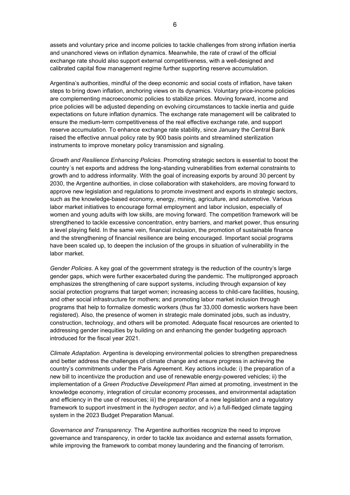assets and voluntary price and income policies to tackle challenges from strong inflation inertia and unanchored views on inflation dynamics. Meanwhile, the rate of crawl of the official exchange rate should also support external competitiveness, with a well-designed and calibrated capital flow management regime further supporting reserve accumulation.

Argentina's authorities, mindful of the deep economic and social costs of inflation, have taken steps to bring down inflation, anchoring views on its dynamics. Voluntary price-income policies are complementing macroeconomic policies to stabilize prices. Moving forward, income and price policies will be adjusted depending on evolving circumstances to tackle inertia and guide expectations on future inflation dynamics. The exchange rate management will be calibrated to ensure the medium-term competitiveness of the real effective exchange rate, and support reserve accumulation. To enhance exchange rate stability, since January the Central Bank raised the effective annual policy rate by 900 basis points and streamlined sterilization instruments to improve monetary policy transmission and signaling.

*Growth and Resilience Enhancing Policies.* Promoting strategic sectors is essential to boost the country´s net exports and address the long-standing vulnerabilities from external constraints to growth and to address informality. With the goal of increasing exports by around 30 percent by 2030, the Argentine authorities, in close collaboration with stakeholders, are moving forward to approve new legislation and regulations to promote investment and exports in strategic sectors, such as the knowledge-based economy, energy, mining, agriculture, and automotive. Various labor market initiatives to encourage formal employment and labor inclusion, especially of women and young adults with low skills, are moving forward. The competition framework will be strengthened to tackle excessive concentration, entry barriers, and market power, thus ensuring a level playing field. In the same vein, financial inclusion, the promotion of sustainable finance and the strengthening of financial resilience are being encouraged. Important social programs have been scaled up, to deepen the inclusion of the groups in situation of vulnerability in the labor market.

*Gender Policies.* A key goal of the government strategy is the reduction of the country's large gender gaps, which were further exacerbated during the pandemic. The multipronged approach emphasizes the strengthening of care support systems, including through expansion of key social protection programs that target women; increasing access to child-care facilities, housing, and other social infrastructure for mothers; and promoting labor market inclusion through programs that help to formalize domestic workers (thus far 33,000 domestic workers have been registered). Also, the presence of women in strategic male dominated jobs, such as industry, construction, technology, and others will be promoted. Adequate fiscal resources are oriented to addressing gender inequities by building on and enhancing the gender budgeting approach introduced for the fiscal year 2021.

*Climate Adaptation.* Argentina is developing environmental policies to strengthen preparedness and better address the challenges of climate change and ensure progress in achieving the country's commitments under the Paris Agreement. Key actions include: i) the preparation of a new bill to incentivize the production and use of renewable energy-powered vehicles; ii) the implementation of a *Green Productive Development Plan* aimed at promoting, investment in the knowledge economy, integration of circular economy processes, and environmental adaptation and efficiency in the use of resources; iii) the preparation of a new legislation and a regulatory framework to support investment in the *hydrogen sector,* and iv) a full-fledged climate tagging system in the 2023 Budget Preparation Manual.

*Governance and Transparency.* The Argentine authorities recognize the need to improve governance and transparency, in order to tackle tax avoidance and external assets formation, while improving the framework to combat money laundering and the financing of terrorism.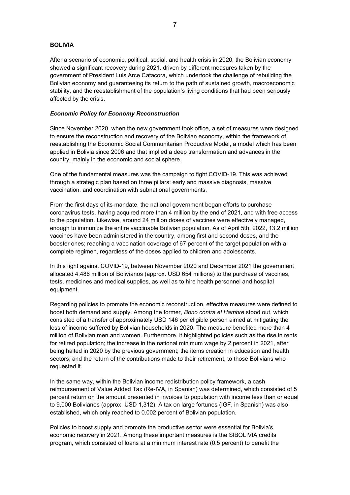## **BOLIVIA**

After a scenario of economic, political, social, and health crisis in 2020, the Bolivian economy showed a significant recovery during 2021, driven by different measures taken by the government of President Luis Arce Catacora, which undertook the challenge of rebuilding the Bolivian economy and guaranteeing its return to the path of sustained growth, macroeconomic stability, and the reestablishment of the population's living conditions that had been seriously affected by the crisis.

### *Economic Policy for Economy Reconstruction*

Since November 2020, when the new government took office, a set of measures were designed to ensure the reconstruction and recovery of the Bolivian economy, within the framework of reestablishing the Economic Social Communitarian Productive Model, a model which has been applied in Bolivia since 2006 and that implied a deep transformation and advances in the country, mainly in the economic and social sphere.

One of the fundamental measures was the campaign to fight COVID-19. This was achieved through a strategic plan based on three pillars: early and massive diagnosis, massive vaccination, and coordination with subnational governments.

From the first days of its mandate, the national government began efforts to purchase coronavirus tests, having acquired more than 4 million by the end of 2021, and with free access to the population. Likewise, around 24 million doses of vaccines were effectively managed, enough to immunize the entire vaccinable Bolivian population. As of April 5th, 2022, 13.2 million vaccines have been administered in the country, among first and second doses, and the booster ones; reaching a vaccination coverage of 67 percent of the target population with a complete regimen, regardless of the doses applied to children and adolescents.

In this fight against COVID-19, between November 2020 and December 2021 the government allocated 4,486 million of Bolivianos (approx. USD 654 millions) to the purchase of vaccines, tests, medicines and medical supplies, as well as to hire health personnel and hospital equipment.

Regarding policies to promote the economic reconstruction, effective measures were defined to boost both demand and supply. Among the former, *Bono contra el Hambre* stood out, which consisted of a transfer of approximately USD 146 per eligible person aimed at mitigating the loss of income suffered by Bolivian households in 2020. The measure benefited more than 4 million of Bolivian men and women. Furthermore, it highlighted policies such as the rise in rents for retired population; the increase in the national minimum wage by 2 percent in 2021, after being halted in 2020 by the previous government; the items creation in education and health sectors; and the return of the contributions made to their retirement, to those Bolivians who requested it.

In the same way, within the Bolivian income redistribution policy framework, a cash reimbursement of Value Added Tax (Re-IVA, in Spanish) was determined, which consisted of 5 percent return on the amount presented in invoices to population with income less than or equal to 9,000 Bolivianos (approx. USD 1,312). A tax on large fortunes (IGF, in Spanish) was also established, which only reached to 0.002 percent of Bolivian population.

Policies to boost supply and promote the productive sector were essential for Bolivia's economic recovery in 2021. Among these important measures is the SIBOLIVIA credits program, which consisted of loans at a minimum interest rate (0.5 percent) to benefit the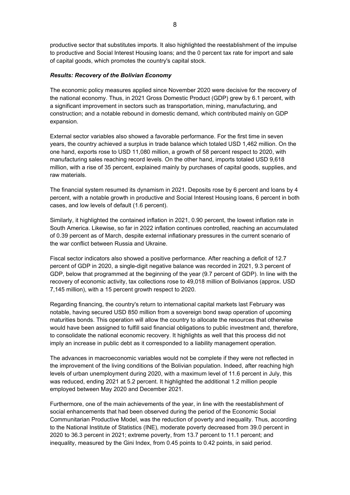productive sector that substitutes imports. It also highlighted the reestablishment of the impulse to productive and Social Interest Housing loans; and the 0 percent tax rate for import and sale of capital goods, which promotes the country's capital stock.

## *Results: Recovery of the Bolivian Economy*

The economic policy measures applied since November 2020 were decisive for the recovery of the national economy. Thus, in 2021 Gross Domestic Product (GDP) grew by 6.1 percent, with a significant improvement in sectors such as transportation, mining, manufacturing, and construction; and a notable rebound in domestic demand, which contributed mainly on GDP expansion.

External sector variables also showed a favorable performance. For the first time in seven years, the country achieved a surplus in trade balance which totaled USD 1,462 million. On the one hand, exports rose to USD 11,080 million, a growth of 58 percent respect to 2020, with manufacturing sales reaching record levels. On the other hand, imports totaled USD 9,618 million, with a rise of 35 percent, explained mainly by purchases of capital goods, supplies, and raw materials.

The financial system resumed its dynamism in 2021. Deposits rose by 6 percent and loans by 4 percent, with a notable growth in productive and Social Interest Housing loans, 6 percent in both cases, and low levels of default (1.6 percent).

Similarly, it highlighted the contained inflation in 2021, 0.90 percent, the lowest inflation rate in South America. Likewise, so far in 2022 inflation continues controlled, reaching an accumulated of 0.39 percent as of March, despite external inflationary pressures in the current scenario of the war conflict between Russia and Ukraine.

Fiscal sector indicators also showed a positive performance. After reaching a deficit of 12.7 percent of GDP in 2020, a single-digit negative balance was recorded in 2021, 9.3 percent of GDP, below that programmed at the beginning of the year (9.7 percent of GDP). In line with the recovery of economic activity, tax collections rose to 49,018 million of Bolivianos (approx. USD 7,145 million), with a 15 percent growth respect to 2020.

Regarding financing, the country's return to international capital markets last February was notable, having secured USD 850 million from a sovereign bond swap operation of upcoming maturities bonds. This operation will allow the country to allocate the resources that otherwise would have been assigned to fulfill said financial obligations to public investment and, therefore, to consolidate the national economic recovery. It highlights as well that this process did not imply an increase in public debt as it corresponded to a liability management operation.

The advances in macroeconomic variables would not be complete if they were not reflected in the improvement of the living conditions of the Bolivian population. Indeed, after reaching high levels of urban unemployment during 2020, with a maximum level of 11.6 percent in July, this was reduced, ending 2021 at 5.2 percent. It highlighted the additional 1.2 million people employed between May 2020 and December 2021.

Furthermore, one of the main achievements of the year, in line with the reestablishment of social enhancements that had been observed during the period of the Economic Social Communitarian Productive Model, was the reduction of poverty and inequality. Thus, according to the National Institute of Statistics (INE), moderate poverty decreased from 39.0 percent in 2020 to 36.3 percent in 2021; extreme poverty, from 13.7 percent to 11.1 percent; and inequality, measured by the Gini Index, from 0.45 points to 0.42 points, in said period.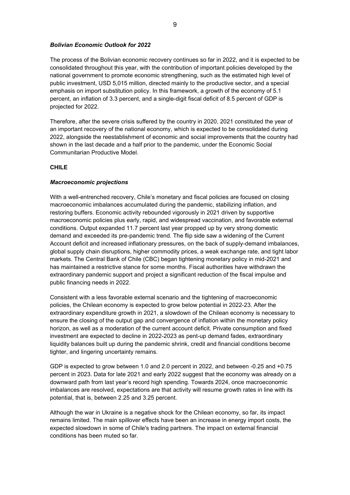## *Bolivian Economic Outlook for 2022*

The process of the Bolivian economic recovery continues so far in 2022, and it is expected to be consolidated throughout this year, with the contribution of important policies developed by the national government to promote economic strengthening, such as the estimated high level of public investment, USD 5,015 million, directed mainly to the productive sector, and a special emphasis on import substitution policy. In this framework, a growth of the economy of 5.1 percent, an inflation of 3.3 percent, and a single-digit fiscal deficit of 8.5 percent of GDP is projected for 2022.

Therefore, after the severe crisis suffered by the country in 2020, 2021 constituted the year of an important recovery of the national economy, which is expected to be consolidated during 2022, alongside the reestablishment of economic and social improvements that the country had shown in the last decade and a half prior to the pandemic, under the Economic Social Communitarian Productive Model.

# **CHILE**

# *Macroeconomic projections*

With a well-entrenched recovery, Chile's monetary and fiscal policies are focused on closing macroeconomic imbalances accumulated during the pandemic, stabilizing inflation, and restoring buffers. Economic activity rebounded vigorously in 2021 driven by supportive macroeconomic policies plus early, rapid, and widespread vaccination, and favorable external conditions. Output expanded 11.7 percent last year propped up by very strong domestic demand and exceeded its pre-pandemic trend. The flip side saw a widening of the Current Account deficit and increased inflationary pressures, on the back of supply-demand imbalances, global supply chain disruptions, higher commodity prices, a weak exchange rate, and tight labor markets. The Central Bank of Chile (CBC) began tightening monetary policy in mid-2021 and has maintained a restrictive stance for some months. Fiscal authorities have withdrawn the extraordinary pandemic support and project a significant reduction of the fiscal impulse and public financing needs in 2022.

Consistent with a less favorable external scenario and the tightening of macroeconomic policies, the Chilean economy is expected to grow below potential in 2022-23. After the extraordinary expenditure growth in 2021, a slowdown of the Chilean economy is necessary to ensure the closing of the output gap and convergence of inflation within the monetary policy horizon, as well as a moderation of the current account deficit. Private consumption and fixed investment are expected to decline in 2022-2023 as pent-up demand fades, extraordinary liquidity balances built up during the pandemic shrink, credit and financial conditions become tighter, and lingering uncertainty remains.

GDP is expected to grow between 1.0 and 2.0 percent in 2022, and between -0.25 and +0.75 percent in 2023. Data for late 2021 and early 2022 suggest that the economy was already on a downward path from last year's record high spending. Towards 2024, once macroeconomic imbalances are resolved, expectations are that activity will resume growth rates in line with its potential, that is, between 2.25 and 3.25 percent.

Although the war in Ukraine is a negative shock for the Chilean economy, so far, its impact remains limited. The main spillover effects have been an increase in energy import costs, the expected slowdown in some of Chile's trading partners. The impact on external financial conditions has been muted so far.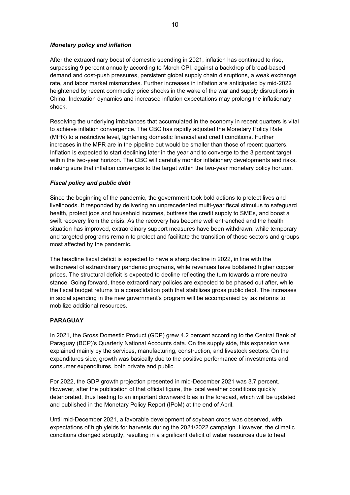# *Monetary policy and inflation*

After the extraordinary boost of domestic spending in 2021, inflation has continued to rise, surpassing 9 percent annually according to March CPI, against a backdrop of broad-based demand and cost-push pressures, persistent global supply chain disruptions, a weak exchange rate, and labor market mismatches. Further increases in inflation are anticipated by mid-2022 heightened by recent commodity price shocks in the wake of the war and supply disruptions in China. Indexation dynamics and increased inflation expectations may prolong the inflationary shock.

Resolving the underlying imbalances that accumulated in the economy in recent quarters is vital to achieve inflation convergence. The CBC has rapidly adjusted the Monetary Policy Rate (MPR) to a restrictive level, tightening domestic financial and credit conditions. Further increases in the MPR are in the pipeline but would be smaller than those of recent quarters. Inflation is expected to start declining later in the year and to converge to the 3 percent target within the two-year horizon. The CBC will carefully monitor inflationary developments and risks, making sure that inflation converges to the target within the two-year monetary policy horizon.

# *Fiscal policy and public debt*

Since the beginning of the pandemic, the government took bold actions to protect lives and livelihoods. It responded by delivering an unprecedented multi-year fiscal stimulus to safeguard health, protect jobs and household incomes, buttress the credit supply to SMEs, and boost a swift recovery from the crisis. As the recovery has become well entrenched and the health situation has improved, extraordinary support measures have been withdrawn, while temporary and targeted programs remain to protect and facilitate the transition of those sectors and groups most affected by the pandemic.

The headline fiscal deficit is expected to have a sharp decline in 2022, in line with the withdrawal of extraordinary pandemic programs, while revenues have bolstered higher copper prices. The structural deficit is expected to decline reflecting the turn towards a more neutral stance. Going forward, these extraordinary policies are expected to be phased out after, while the fiscal budget returns to a consolidation path that stabilizes gross public debt. The increases in social spending in the new government's program will be accompanied by tax reforms to mobilize additional resources.

# **PARAGUAY**

In 2021, the Gross Domestic Product (GDP) grew 4.2 percent according to the Central Bank of Paraguay (BCP)'s Quarterly National Accounts data. On the supply side, this expansion was explained mainly by the services, manufacturing, construction, and livestock sectors. On the expenditures side, growth was basically due to the positive performance of investments and consumer expenditures, both private and public.

For 2022, the GDP growth projection presented in mid-December 2021 was 3.7 percent. However, after the publication of that official figure, the local weather conditions quickly deteriorated, thus leading to an important downward bias in the forecast, which will be updated and published in the Monetary Policy Report (IPoM) at the end of April.

Until mid-December 2021, a favorable development of soybean crops was observed, with expectations of high yields for harvests during the 2021/2022 campaign. However, the climatic conditions changed abruptly, resulting in a significant deficit of water resources due to heat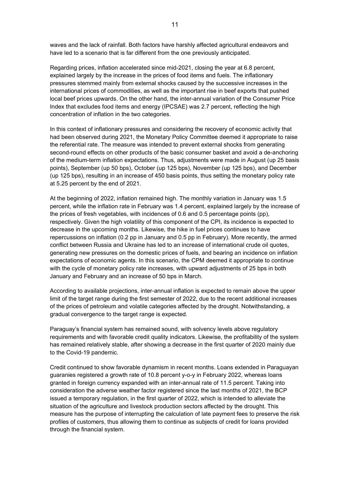waves and the lack of rainfall. Both factors have harshly affected agricultural endeavors and have led to a scenario that is far different from the one previously anticipated.

Regarding prices, inflation accelerated since mid-2021, closing the year at 6.8 percent, explained largely by the increase in the prices of food items and fuels. The inflationary pressures stemmed mainly from external shocks caused by the successive increases in the international prices of commodities, as well as the important rise in beef exports that pushed local beef prices upwards. On the other hand, the inter-annual variation of the Consumer Price Index that excludes food items and energy (IPCSAE) was 2.7 percent, reflecting the high concentration of inflation in the two categories.

In this context of inflationary pressures and considering the recovery of economic activity that had been observed during 2021, the Monetary Policy Committee deemed it appropriate to raise the referential rate. The measure was intended to prevent external shocks from generating second-round effects on other products of the basic consumer basket and avoid a de-anchoring of the medium-term inflation expectations. Thus, adjustments were made in August (up 25 basis points), September (up 50 bps), October (up 125 bps), November (up 125 bps), and December (up 125 bps), resulting in an increase of 450 basis points, thus setting the monetary policy rate at 5.25 percent by the end of 2021.

At the beginning of 2022, inflation remained high. The monthly variation in January was 1.5 percent, while the inflation rate in February was 1.4 percent, explained largely by the increase of the prices of fresh vegetables, with incidences of 0.6 and 0.5 percentage points (pp), respectively. Given the high volatility of this component of the CPI, its incidence is expected to decrease in the upcoming months. Likewise, the hike in fuel prices continues to have repercussions on inflation (0.2 pp in January and 0.5 pp in February). More recently, the armed conflict between Russia and Ukraine has led to an increase of international crude oil quotes, generating new pressures on the domestic prices of fuels, and bearing an incidence on inflation expectations of economic agents. In this scenario, the CPM deemed it appropriate to continue with the cycle of monetary policy rate increases, with upward adjustments of 25 bps in both January and February and an increase of 50 bps in March.

According to available projections, inter-annual inflation is expected to remain above the upper limit of the target range during the first semester of 2022, due to the recent additional increases of the prices of petroleum and volatile categories affected by the drought. Notwithstanding, a gradual convergence to the target range is expected.

Paraguay's financial system has remained sound, with solvency levels above regulatory requirements and with favorable credit quality indicators. Likewise, the profitability of the system has remained relatively stable, after showing a decrease in the first quarter of 2020 mainly due to the Covid-19 pandemic.

Credit continued to show favorable dynamism in recent months. Loans extended in Paraguayan guaranies registered a growth rate of 10.8 percent y-o-y in February 2022, whereas loans granted in foreign currency expanded with an inter-annual rate of 11.5 percent. Taking into consideration the adverse weather factor registered since the last months of 2021, the BCP issued a temporary regulation, in the first quarter of 2022, which is intended to alleviate the situation of the agriculture and livestock production sectors affected by the drought. This measure has the purpose of interrupting the calculation of late payment fees to preserve the risk profiles of customers, thus allowing them to continue as subjects of credit for loans provided through the financial system.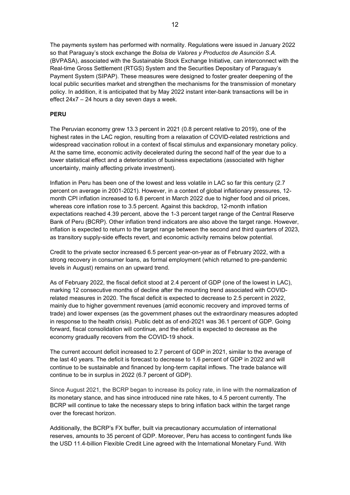The payments system has performed with normality. Regulations were issued in January 2022 so that Paraguay's stock exchange the *Bolsa de Valores y Productos de Asunción S.A.* (BVPASA), associated with the Sustainable Stock Exchange Initiative, can interconnect with the Real-time Gross Settlement (RTGS) System and the Securities Depositary of Paraguay's Payment System (SIPAP). These measures were designed to foster greater deepening of the local public securities market and strengthen the mechanisms for the transmission of monetary policy. In addition, it is anticipated that by May 2022 instant inter-bank transactions will be in effect 24x7 – 24 hours a day seven days a week.

# **PERU**

The Peruvian economy grew 13.3 percent in 2021 (0.8 percent relative to 2019), one of the highest rates in the LAC region, resulting from a relaxation of COVID-related restrictions and widespread vaccination rollout in a context of fiscal stimulus and expansionary monetary policy. At the same time, economic activity decelerated during the second half of the year due to a lower statistical effect and a deterioration of business expectations (associated with higher uncertainty, mainly affecting private investment).

Inflation in Peru has been one of the lowest and less volatile in LAC so far this century (2.7 percent on average in 2001-2021). However, in a context of global inflationary pressures, 12 month CPI inflation increased to 6.8 percent in March 2022 due to higher food and oil prices, whereas core inflation rose to 3.5 percent. Against this backdrop, 12-month inflation expectations reached 4.39 percent, above the 1-3 percent target range of the Central Reserve Bank of Peru (BCRP). Other inflation trend indicators are also above the target range. However, inflation is expected to return to the target range between the second and third quarters of 2023, as transitory supply-side effects revert, and economic activity remains below potential.

Credit to the private sector increased 6.5 percent year-on-year as of February 2022, with a strong recovery in consumer loans, as formal employment (which returned to pre-pandemic levels in August) remains on an upward trend.

As of February 2022, the fiscal deficit stood at 2.4 percent of GDP (one of the lowest in LAC), marking 12 consecutive months of decline after the mounting trend associated with COVIDrelated measures in 2020. The fiscal deficit is expected to decrease to 2.5 percent in 2022, mainly due to higher government revenues (amid economic recovery and improved terms of trade) and lower expenses (as the government phases out the extraordinary measures adopted in response to the health crisis). Public debt as of end-2021 was 36.1 percent of GDP. Going forward, fiscal consolidation will continue, and the deficit is expected to decrease as the economy gradually recovers from the COVID-19 shock.

The current account deficit increased to 2.7 percent of GDP in 2021, similar to the average of the last 40 years. The deficit is forecast to decrease to 1.6 percent of GDP in 2022 and will continue to be sustainable and financed by long-term capital inflows. The trade balance will continue to be in surplus in 2022 (6.7 percent of GDP).

Since August 2021, the BCRP began to increase its policy rate, in line with the normalization of its monetary stance, and has since introduced nine rate hikes, to 4.5 percent currently. The BCRP will continue to take the necessary steps to bring inflation back within the target range over the forecast horizon.

Additionally, the BCRP's FX buffer, built via precautionary accumulation of international reserves, amounts to 35 percent of GDP. Moreover, Peru has access to contingent funds like the USD 11.4-billion Flexible Credit Line agreed with the International Monetary Fund. With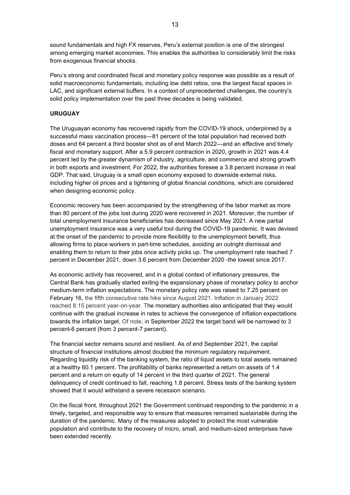sound fundamentals and high FX reserves, Peru's external position is one of the strongest among emerging market economies. This enables the authorities to considerably limit the risks from exogenous financial shocks.

Peru's strong and coordinated fiscal and monetary policy response was possible as a result of solid macroeconomic fundamentals, including low debt ratios, one the largest fiscal spaces in LAC, and significant external buffers. In a context of unprecedented challenges, the country's solid policy implementation over the past three decades is being validated.

# **URUGUAY**

The Uruguayan economy has recovered rapidly from the COVID-19 shock, underpinned by a successful mass vaccination process—81 percent of the total population had received both doses and 64 percent a third booster shot as of end March 2022—and an effective and timely fiscal and monetary support. After a 5.9 percent contraction in 2020, growth in 2021 was 4.4 percent led by the greater dynamism of industry, agriculture, and commerce and strong growth in both exports and investment. For 2022, the authorities foresee a 3.8 percent increase in real GDP. That said, Uruguay is a small open economy exposed to downside external risks, including higher oil prices and a tightening of global financial conditions, which are considered when designing economic policy.

Economic recovery has been accompanied by the strengthening of the labor market as more than 80 percent of the jobs lost during 2020 were recovered in 2021. Moreover, the number of total unemployment insurance beneficiaries has decreased since May 2021. A new partial unemployment insurance was a very useful tool during the COVID-19 pandemic. It was devised at the onset of the pandemic to provide more flexibility to the unemployment benefit, thus allowing firms to place workers in part-time schedules, avoiding an outright dismissal and enabling them to return to their jobs once activity picks up. The unemployment rate reached 7 percent in December 2021, down 3.6 percent from December 2020 -the lowest since 2017.

As economic activity has recovered, and in a global context of inflationary pressures, the Central Bank has gradually started exiting the expansionary phase of monetary policy to anchor medium-term inflation expectations. The monetary policy rate was raised to 7.25 percent on February 16, the fifth consecutive rate hike since August 2021. Inflation in January 2022 reached 8.15 percent year-on-year. The monetary authorities also anticipated that they would continue with the gradual increase in rates to achieve the convergence of inflation expectations towards the inflation target*.* Of note, in September 2022 the target band will be narrowed to 3 percent-6 percent (from 3 percent-7 percent).

The financial sector remains sound and resilient. As of end September 2021, the capital structure of financial institutions almost doubled the minimum regulatory requirement. Regarding liquidity risk of the banking system, the ratio of liquid assets to total assets remained at a healthy 60.1 percent. The profitability of banks represented a return on assets of 1.4 percent and a return on equity of 14 percent in the third quarter of 2021. The general delinquency of credit continued to fall, reaching 1.8 percent. Stress tests of the banking system showed that it would withstand a severe recession scenario.

On the fiscal front, throughout 2021 the Government continued responding to the pandemic in a timely, targeted, and responsible way to ensure that measures remained sustainable during the duration of the pandemic. Many of the measures adopted to protect the most vulnerable population and contribute to the recovery of micro, small, and medium-sized enterprises have been extended recently.